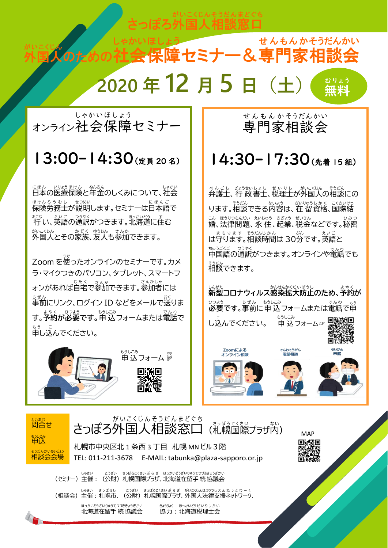さっぽろ外国人 相談 窓口

そうだん

まどぐち

がいこくじん

外国人のための社 がいこくじん のための社会 しゃかい 保障 セミナー&専門家 相談会 ほしょう せ ん も ん か そうだんかい **2020 年 12 月 5 日(土)**  無料 むりょう

オンライン社会 保障 セミナー しゃかいほしょう

## 13:00-14:30(定員20名)

に<sub>ほん、いりょうほけん、ねんきん<br>日本の医療保険と年金のしくみについて、社会</sub> <sub>ほけんろうむし せつめい<br>保険労務士が説明します。セミナーは日本語で</sub> 。…<br>行い、英語の通訳がつきます。北海道に住む ゕ<sub>いこくじん</sub><br>外国人とその家族、友人も参加できます。

Zoom を使 つか ったオンラインのセミナーです。カメ ラ・マイクつきのパソコン、タブレット、スマートフ <sub>さんかしゃ</sub><br>オンがあれば自宅で参加できます。参加者には <sup>じぜん</sup><br>事前にリンク、ログイン ID などをメールで送りま まゃく *تحديٰ*<br>す。**予約が必要です。**申 込フォームまたは電話で 申し込 も う こ んでください。



#### 専門家 相談会 せんもん かそうだんかい

## 14:30-17:30 (先着 15組)

べんごし ぎょうせいよし ぜいりし がいこくじん そうだん<br>弁護士、行 政書士、税理士が外国人の相談にの います。相談できる内容は、在 留資格、国際結 こん ほうりさんだい えいじゅう きぎょう ぜいきん<br>婚、法律問題、永住、起業、税金などです。秘密 は守ります ま も り ま す 。相談 そうだん 時間 じかん は 30分 ぷん です。英語 え い ご と <sub>ちゅうごく</sub><br>中国語の通訳がつきます。オンラインや電話でも <sub>着談できます。</sub>

しんがた<br>**新型コロナウィルス感染拡大防止のため、予約が 必要** ひつよう **です**。事前 じ ぜ ん に申 込 もうしこみ フォームまたは電話 でんわ で申 もう し込んでください。 申 込 もうしこみ フォーム☞